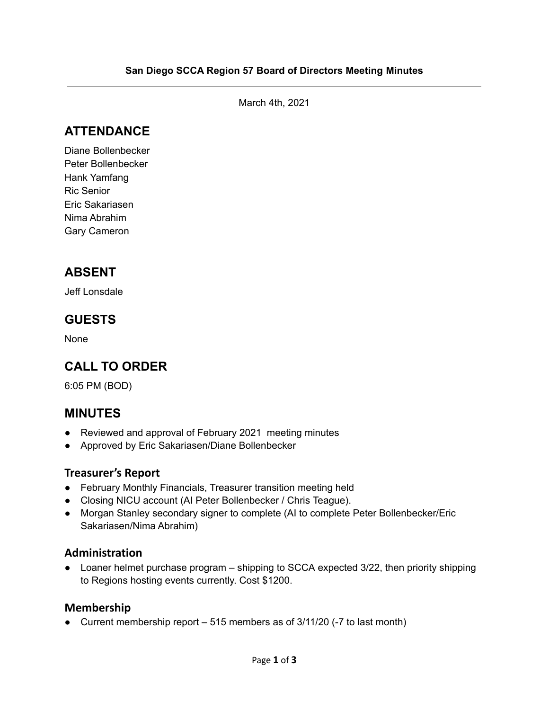March 4th, 2021

# **ATTENDANCE**

Diane Bollenbecker Peter Bollenbecker Hank Yamfang Ric Senior Eric Sakariasen Nima Abrahim Gary Cameron

# **ABSENT**

Jeff Lonsdale

### **GUESTS**

None

# **CALL TO ORDER**

6:05 PM (BOD)

### **MINUTES**

- Reviewed and approval of February 2021 meeting minutes
- Approved by Eric Sakariasen/Diane Bollenbecker

#### **Treasurer's Report**

- February Monthly Financials, Treasurer transition meeting held
- Closing NICU account (AI Peter Bollenbecker / Chris Teague).
- Morgan Stanley secondary signer to complete (AI to complete Peter Bollenbecker/Eric Sakariasen/Nima Abrahim)

#### **Administration**

● Loaner helmet purchase program – shipping to SCCA expected 3/22, then priority shipping to Regions hosting events currently. Cost \$1200.

#### **Membership**

● Current membership report – 515 members as of 3/11/20 (-7 to last month)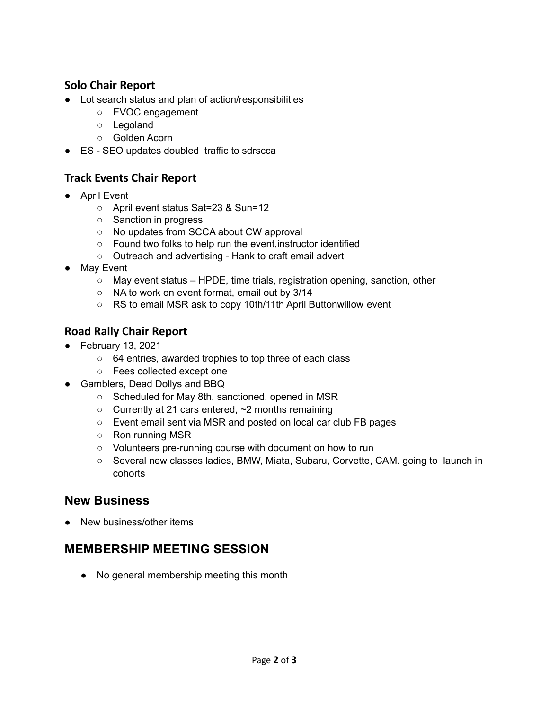#### **Solo Chair Report**

- Lot search status and plan of action/responsibilities
	- EVOC engagement
	- Legoland
	- Golden Acorn
- ES SEO updates doubled traffic to sdrscca

### **Track Events Chair Report**

- April Event
	- April event status Sat=23 & Sun=12
	- Sanction in progress
	- No updates from SCCA about CW approval
	- Found two folks to help run the event,instructor identified
	- Outreach and advertising Hank to craft email advert
- May Event
	- May event status HPDE, time trials, registration opening, sanction, other
	- NA to work on event format, email out by 3/14
	- RS to email MSR ask to copy 10th/11th April Buttonwillow event

### **Road Rally Chair Report**

- February 13, 2021
	- 64 entries, awarded trophies to top three of each class
	- Fees collected except one
- Gamblers, Dead Dollys and BBQ
	- Scheduled for May 8th, sanctioned, opened in MSR
	- $\circ$  Currently at 21 cars entered,  $\sim$  2 months remaining
	- Event email sent via MSR and posted on local car club FB pages
	- Ron running MSR
	- Volunteers pre-running course with document on how to run
	- Several new classes ladies, BMW, Miata, Subaru, Corvette, CAM. going to launch in cohorts

### **New Business**

• New business/other items

# **MEMBERSHIP MEETING SESSION**

● No general membership meeting this month